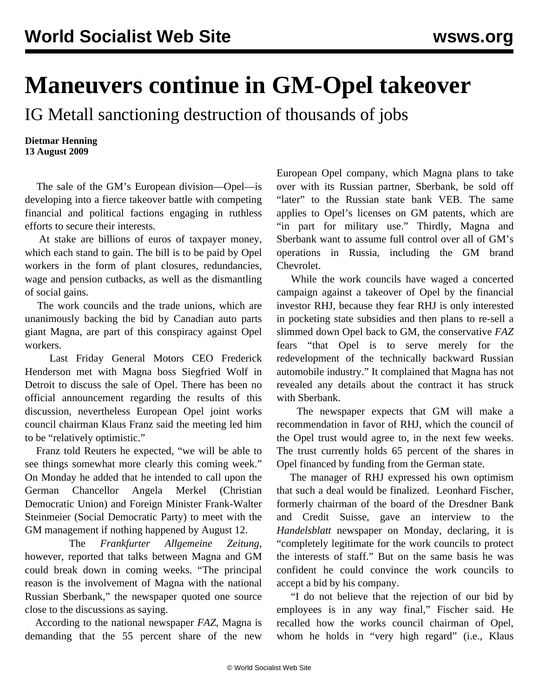## **Maneuvers continue in GM-Opel takeover**

IG Metall sanctioning destruction of thousands of jobs

**Dietmar Henning 13 August 2009**

 The sale of the GM's European division—Opel—is developing into a fierce takeover battle with competing financial and political factions engaging in ruthless efforts to secure their interests.

 At stake are billions of euros of taxpayer money, which each stand to gain. The bill is to be paid by Opel workers in the form of plant closures, redundancies, wage and pension cutbacks, as well as the dismantling of social gains.

 The work councils and the trade unions, which are unanimously backing the bid by Canadian auto parts giant Magna, are part of this conspiracy against Opel workers.

 Last Friday General Motors CEO Frederick Henderson met with Magna boss Siegfried Wolf in Detroit to discuss the sale of Opel. There has been no official announcement regarding the results of this discussion, nevertheless European Opel joint works council chairman Klaus Franz said the meeting led him to be "relatively optimistic."

 Franz told Reuters he expected, "we will be able to see things somewhat more clearly this coming week." On Monday he added that he intended to call upon the German Chancellor Angela Merkel (Christian Democratic Union) and Foreign Minister Frank-Walter Steinmeier (Social Democratic Party) to meet with the GM management if nothing happened by August 12.

 The *Frankfurter Allgemeine Zeitung*, however, reported that talks between Magna and GM could break down in coming weeks. "The principal reason is the involvement of Magna with the national Russian Sberbank," the newspaper quoted one source close to the discussions as saying.

 According to the national newspaper *FAZ*, Magna is demanding that the 55 percent share of the new European Opel company, which Magna plans to take over with its Russian partner, Sberbank, be sold off "later" to the Russian state bank VEB. The same applies to Opel's licenses on GM patents, which are "in part for military use." Thirdly, Magna and Sberbank want to assume full control over all of GM's operations in Russia, including the GM brand Chevrolet.

 While the work councils have waged a concerted campaign against a takeover of Opel by the financial investor RHJ, because they fear RHJ is only interested in pocketing state subsidies and then plans to re-sell a slimmed down Opel back to GM, the conservative *FAZ* fears "that Opel is to serve merely for the redevelopment of the technically backward Russian automobile industry." It complained that Magna has not revealed any details about the contract it has struck with Sberbank.

 The newspaper expects that GM will make a recommendation in favor of RHJ, which the council of the Opel trust would agree to, in the next few weeks. The trust currently holds 65 percent of the shares in Opel financed by funding from the German state.

 The manager of RHJ expressed his own optimism that such a deal would be finalized. Leonhard Fischer, formerly chairman of the board of the Dresdner Bank and Credit Suisse, gave an interview to the *Handelsblatt* newspaper on Monday, declaring, it is "completely legitimate for the work councils to protect the interests of staff." But on the same basis he was confident he could convince the work councils to accept a bid by his company.

 "I do not believe that the rejection of our bid by employees is in any way final," Fischer said. He recalled how the works council chairman of Opel, whom he holds in "very high regard" (i.e., Klaus